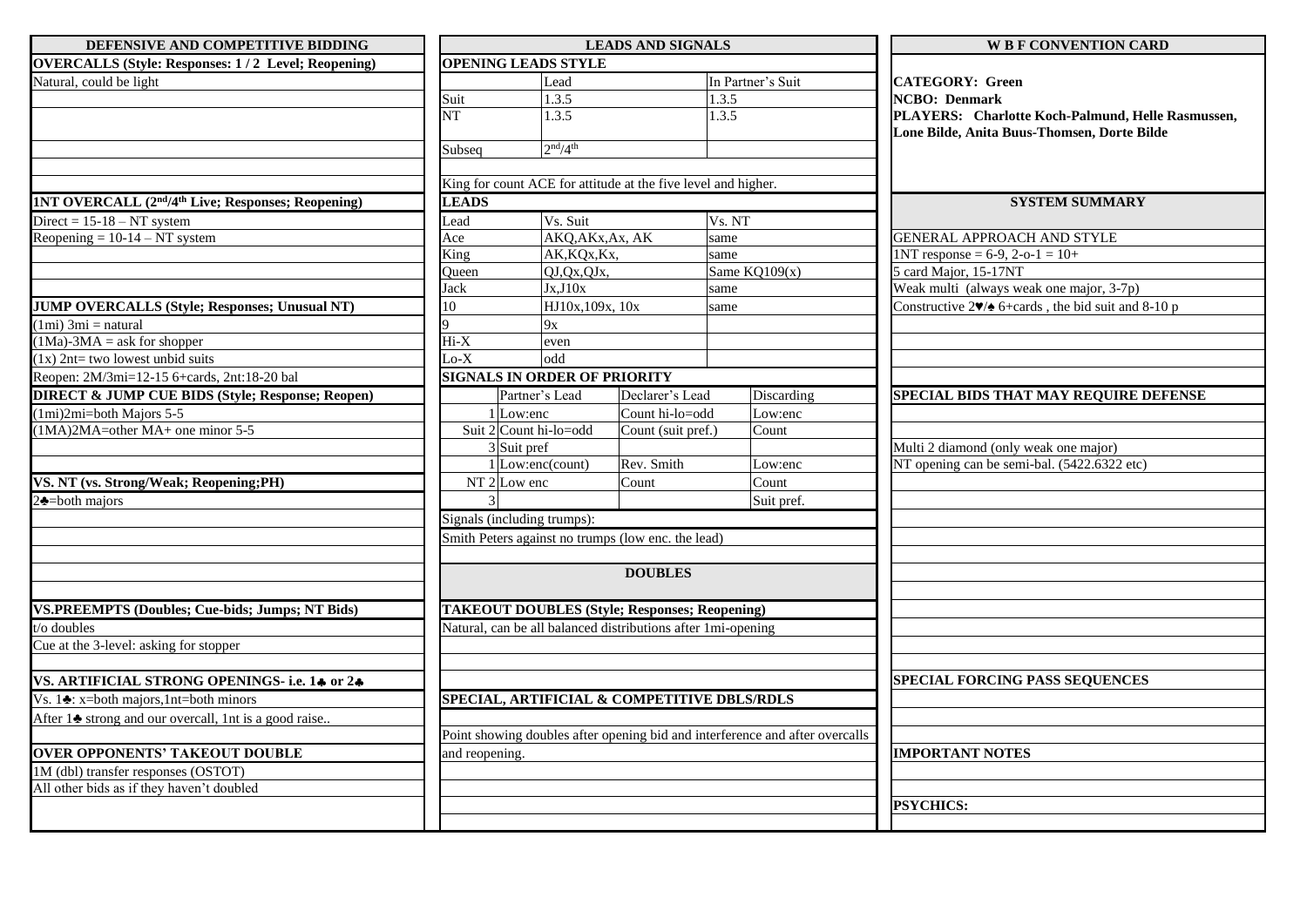| DEFENSIVE AND COMPETITIVE BIDDING                                                    |                                                    |                                     | <b>LEADS AND SIGNALS</b>                                      |                                                                              | <b>WE F CONVENTION CARD</b>                                                        |  |
|--------------------------------------------------------------------------------------|----------------------------------------------------|-------------------------------------|---------------------------------------------------------------|------------------------------------------------------------------------------|------------------------------------------------------------------------------------|--|
| <b>OVERCALLS (Style: Responses: 1/2 Level; Reopening)</b>                            |                                                    | <b>OPENING LEADS STYLE</b>          |                                                               |                                                                              |                                                                                    |  |
| Natural, could be light                                                              | Lead                                               |                                     | In Partner's Suit                                             |                                                                              | <b>CATEGORY: Green</b>                                                             |  |
|                                                                                      | Suit                                               | 1.3.5                               |                                                               | 1.3.5                                                                        | <b>NCBO</b> : Denmark                                                              |  |
|                                                                                      | <b>NT</b>                                          | 1.3.5                               |                                                               | 1.3.5                                                                        | PLAYERS: Charlotte Koch-Palmund, Helle Rasmussen,                                  |  |
|                                                                                      |                                                    |                                     |                                                               |                                                                              | Lone Bilde, Anita Buus-Thomsen, Dorte Bilde                                        |  |
|                                                                                      | Subseq                                             | 2 <sup>nd</sup> /4 <sup>th</sup>    |                                                               |                                                                              |                                                                                    |  |
|                                                                                      |                                                    |                                     |                                                               |                                                                              |                                                                                    |  |
|                                                                                      |                                                    |                                     | King for count ACE for attitude at the five level and higher. |                                                                              |                                                                                    |  |
| 1NT OVERCALL (2 <sup>nd</sup> /4 <sup>th</sup> Live; Responses; Reopening)           | <b>LEADS</b>                                       |                                     |                                                               |                                                                              | <b>SYSTEM SUMMARY</b>                                                              |  |
| Direct = $15-18 - NT$ system                                                         | Lead                                               | Vs. Suit                            |                                                               | Vs. NT                                                                       |                                                                                    |  |
| Reopening = $10-14 - NT$ system                                                      | AKQ, AKx, Ax, AK<br>Ace                            |                                     |                                                               | same                                                                         | <b>GENERAL APPROACH AND STYLE</b>                                                  |  |
|                                                                                      | King                                               | AK, KQx, Kx,                        |                                                               | same                                                                         | $1NT$ response = 6-9, 2-o-1 = 10+                                                  |  |
|                                                                                      | Oueen                                              | QJ,Qx,QJx,                          |                                                               | Same $KQ109(x)$                                                              | 5 card Major, 15-17NT                                                              |  |
|                                                                                      | Jack                                               | Jx, J10x                            |                                                               | same                                                                         | Weak multi (always weak one major, 3-7p)                                           |  |
| <b>JUMP OVERCALLS (Style; Responses; Unusual NT)</b>                                 | 10                                                 | HJ10x,109x, 10x                     |                                                               | same                                                                         | Constructive $2\blacktriangledown/\blacktriangle$ 6+cards, the bid suit and 8-10 p |  |
| $(1mi)$ 3mi = natural                                                                |                                                    | 9x                                  |                                                               |                                                                              |                                                                                    |  |
| $(1Ma)-3MA = ask for shopper$                                                        | $Hi-X$                                             | even                                |                                                               |                                                                              |                                                                                    |  |
| $(1x)$ 2nt= two lowest unbid suits                                                   | $Lo-X$                                             | odd                                 |                                                               |                                                                              |                                                                                    |  |
| Reopen: 2M/3mi=12-15 6+cards, 2nt:18-20 bal                                          |                                                    | <b>SIGNALS IN ORDER OF PRIORITY</b> |                                                               |                                                                              |                                                                                    |  |
| <b>DIRECT &amp; JUMP CUE BIDS (Style; Response; Reopen)</b>                          |                                                    | Partner's Lead                      | Declarer's Lead                                               | Discarding                                                                   | SPECIAL BIDS THAT MAY REQUIRE DEFENSE                                              |  |
| $(1mi)2mi=both\ Majors\ 5-5$                                                         |                                                    | 1 Low:enc                           | Count hi-lo=odd                                               | Low:enc                                                                      |                                                                                    |  |
| $(1MA)2MA=other MA+ one minor 5-5$                                                   |                                                    | Suit 2 Count hi-lo=odd              | Count (suit pref.)                                            | Count                                                                        |                                                                                    |  |
|                                                                                      |                                                    | 3 Suit pref                         |                                                               |                                                                              | Multi 2 diamond (only weak one major)                                              |  |
|                                                                                      |                                                    | 1 Low:enc(count)                    | Rev. Smith                                                    | Low:enc                                                                      | NT opening can be semi-bal. (5422.6322 etc)                                        |  |
| VS. NT (vs. Strong/Weak; Reopening;PH)                                               | $NT2$ Low enc                                      |                                     | Count                                                         | Count                                                                        |                                                                                    |  |
| $2$ $\triangle$ =both majors                                                         |                                                    |                                     |                                                               | Suit pref.                                                                   |                                                                                    |  |
|                                                                                      |                                                    | Signals (including trumps):         |                                                               |                                                                              |                                                                                    |  |
|                                                                                      |                                                    |                                     |                                                               |                                                                              |                                                                                    |  |
|                                                                                      | Smith Peters against no trumps (low enc. the lead) |                                     |                                                               |                                                                              |                                                                                    |  |
|                                                                                      |                                                    |                                     | <b>DOUBLES</b>                                                |                                                                              |                                                                                    |  |
|                                                                                      |                                                    |                                     |                                                               |                                                                              |                                                                                    |  |
| <b>VS.PREEMPTS (Doubles; Cue-bids; Jumps; NT Bids)</b>                               |                                                    |                                     | <b>TAKEOUT DOUBLES (Style; Responses; Reopening)</b>          |                                                                              |                                                                                    |  |
| t/o doubles                                                                          |                                                    |                                     | Natural, can be all balanced distributions after 1mi-opening  |                                                                              |                                                                                    |  |
| Cue at the 3-level: asking for stopper                                               |                                                    |                                     |                                                               |                                                                              |                                                                                    |  |
|                                                                                      |                                                    |                                     |                                                               |                                                                              |                                                                                    |  |
| VS. ARTIFICIAL STRONG OPENINGS- i.e. 14 or 24                                        |                                                    |                                     |                                                               |                                                                              | <b>SPECIAL FORCING PASS SEQUENCES</b>                                              |  |
| Vs. 1 $\triangle$ : x=both majors,1nt=both minors                                    |                                                    |                                     | SPECIAL, ARTIFICIAL & COMPETITIVE DBLS/RDLS                   |                                                                              |                                                                                    |  |
| After 1 <sup><math>\bullet</math></sup> strong and our overcall, 1nt is a good raise |                                                    |                                     |                                                               |                                                                              |                                                                                    |  |
|                                                                                      |                                                    |                                     |                                                               | Point showing doubles after opening bid and interference and after overcalls |                                                                                    |  |
| <b>OVER OPPONENTS' TAKEOUT DOUBLE</b>                                                | and reopening.                                     |                                     |                                                               |                                                                              | <b>IMPORTANT NOTES</b>                                                             |  |
| 1M (dbl) transfer responses (OSTOT)                                                  |                                                    |                                     |                                                               |                                                                              |                                                                                    |  |
| All other bids as if they haven't doubled                                            |                                                    |                                     |                                                               |                                                                              |                                                                                    |  |
|                                                                                      |                                                    |                                     |                                                               |                                                                              | <b>PSYCHICS:</b>                                                                   |  |
|                                                                                      |                                                    |                                     |                                                               |                                                                              |                                                                                    |  |